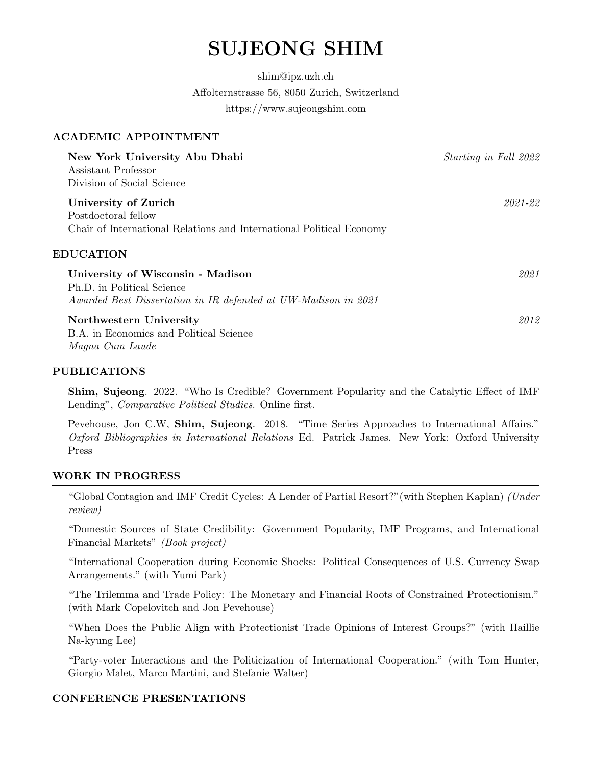# SUJEONG SHIM

shim@ipz.uzh.ch Affolternstrasse 56, 8050 Zurich, Switzerland https://www.sujeongshim.com

### ACADEMIC APPOINTMENT

| New York University Abu Dhabi<br>Assistant Professor<br>Division of Social Science                                                | Starting in Fall 2022 |
|-----------------------------------------------------------------------------------------------------------------------------------|-----------------------|
| University of Zurich<br>Postdoctoral fellow                                                                                       | 2021-22               |
| Chair of International Relations and International Political Economy                                                              |                       |
| <b>EDUCATION</b>                                                                                                                  |                       |
| University of Wisconsin - Madison<br>Ph.D. in Political Science<br>Awarded Best Dissertation in IR defended at UW-Madison in 2021 | 2021                  |
| Northwestern University<br>B.A. in Economics and Political Science<br>Magna Cum Laude                                             | 2012                  |

#### PUBLICATIONS

Shim, Sujeong. 2022. "Who Is Credible? Government Popularity and the Catalytic Effect of IMF Lending", Comparative Political Studies. Online first.

Pevehouse, Jon C.W, **Shim, Sujeong**. 2018. "Time Series Approaches to International Affairs." Oxford Bibliographies in International Relations Ed. Patrick James. New York: Oxford University Press

#### WORK IN PROGRESS

"Global Contagion and IMF Credit Cycles: A Lender of Partial Resort?"(with Stephen Kaplan) (Under review)

"Domestic Sources of State Credibility: Government Popularity, IMF Programs, and International Financial Markets" (Book project)

"International Cooperation during Economic Shocks: Political Consequences of U.S. Currency Swap Arrangements." (with Yumi Park)

"The Trilemma and Trade Policy: The Monetary and Financial Roots of Constrained Protectionism." (with Mark Copelovitch and Jon Pevehouse)

"When Does the Public Align with Protectionist Trade Opinions of Interest Groups?" (with Haillie Na-kyung Lee)

"Party-voter Interactions and the Politicization of International Cooperation." (with Tom Hunter, Giorgio Malet, Marco Martini, and Stefanie Walter)

### CONFERENCE PRESENTATIONS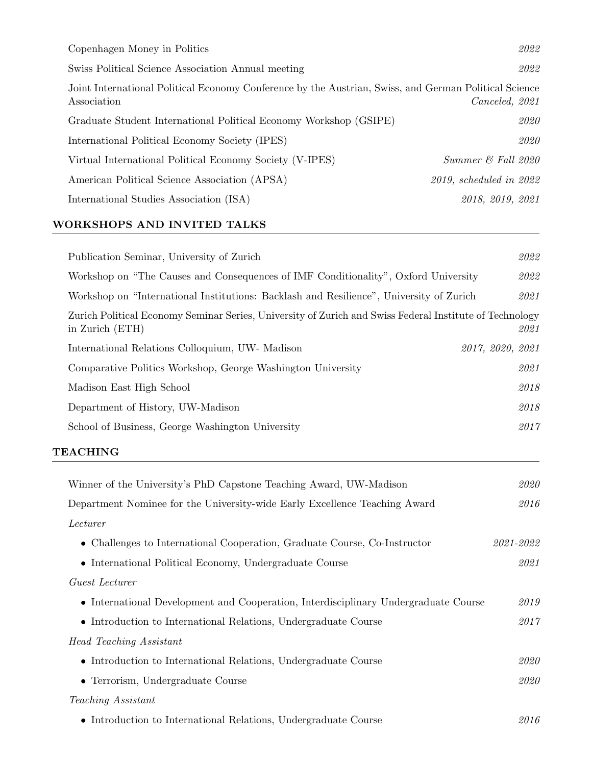| Copenhagen Money in Politics                                                                                         | 2022                    |
|----------------------------------------------------------------------------------------------------------------------|-------------------------|
| Swiss Political Science Association Annual meeting                                                                   | 2022                    |
| Joint International Political Economy Conference by the Austrian, Swiss, and German Political Science<br>Association | Canceled, 2021          |
| Graduate Student International Political Economy Workshop (GSIPE)                                                    | 2020                    |
| International Political Economy Society (IPES)                                                                       | 2020                    |
| Virtual International Political Economy Society (V-IPES)                                                             | Summer & Fall 2020      |
| American Political Science Association (APSA)                                                                        | 2019, scheduled in 2022 |
| International Studies Association (ISA)                                                                              | 2018, 2019, 2021        |

# WORKSHOPS AND INVITED TALKS

| Publication Seminar, University of Zurich                                                                                  | 2022             |
|----------------------------------------------------------------------------------------------------------------------------|------------------|
| Workshop on "The Causes and Consequences of IMF Conditionality", Oxford University                                         | 2022             |
| Workshop on "International Institutions: Backlash and Resilience", University of Zurich                                    | 2021             |
| Zurich Political Economy Seminar Series, University of Zurich and Swiss Federal Institute of Technology<br>in Zurich (ETH) | 2021             |
| International Relations Colloquium, UW- Madison                                                                            | 2017, 2020, 2021 |
| Comparative Politics Workshop, George Washington University                                                                | 2021             |
| Madison East High School                                                                                                   | 2018             |
| Department of History, UW-Madison                                                                                          | 2018             |
| School of Business, George Washington University                                                                           | 2017             |
| <b>TEACHING</b>                                                                                                            |                  |
| Winner of the University's PhD Capstone Teaching Award, UW-Madison                                                         | 2020             |
| Department Nominee for the University-wide Early Excellence Teaching Award                                                 | 2016             |
| Lecturer                                                                                                                   |                  |
| • Challenges to International Cooperation, Graduate Course, Co-Instructor                                                  | $2021 - 2022$    |
| • International Political Economy, Undergraduate Course                                                                    | 2021             |
| Guest Lecturer                                                                                                             |                  |
| • International Development and Cooperation, Interdisciplinary Undergraduate Course                                        | $\it 2019$       |
| • Introduction to International Relations, Undergraduate Course                                                            | $2017$           |
| <b>Head Teaching Assistant</b>                                                                                             |                  |
| • Introduction to International Relations, Undergraduate Course                                                            | 2020             |
| • Terrorism, Undergraduate Course                                                                                          | $\it 2020$       |
| Teaching Assistant                                                                                                         |                  |
| • Introduction to International Relations, Undergraduate Course                                                            | 2016             |